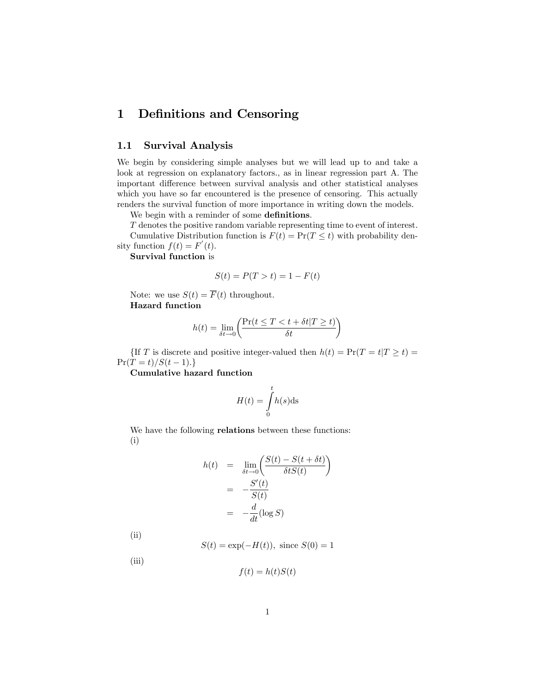# 1 Definitions and Censoring

# 1.1 Survival Analysis

We begin by considering simple analyses but we will lead up to and take a look at regression on explanatory factors., as in linear regression part A. The important difference between survival analysis and other statistical analyses which you have so far encountered is the presence of censoring. This actually renders the survival function of more importance in writing down the models.

We begin with a reminder of some definitions.

T denotes the positive random variable representing time to event of interest. Cumulative Distribution function is  $F(t) = Pr(T \leq t)$  with probability density function  $f(t) = F'(t)$ .

Survival function is

$$
S(t) = P(T > t) = 1 - F(t)
$$

Note: we use  $S(t) = \overline{F}(t)$  throughout. Hazard function

$$
h(t) = \lim_{\delta t \to 0} \left( \frac{\Pr(t \le T < t + \delta t | T \ge t)}{\delta t} \right)
$$

{If T is discrete and positive integer-valued then  $h(t) = Pr(T = t|T \ge t)$  =  $Pr(T = t)/S(t - 1).$ 

Cumulative hazard function

$$
H(t) = \int_{0}^{t} h(s) \, \mathrm{d}s
$$

We have the following relations between these functions: (i)

$$
h(t) = \lim_{\delta t \to 0} \left( \frac{S(t) - S(t + \delta t)}{\delta t S(t)} \right)
$$

$$
= -\frac{S'(t)}{S(t)}
$$

$$
= -\frac{d}{dt} (\log S)
$$

(ii)

 $(iii)$ 

$$
S(t) = \exp(-H(t)),
$$
 since  $S(0) = 1$ 

$$
f(t) = h(t)S(t)
$$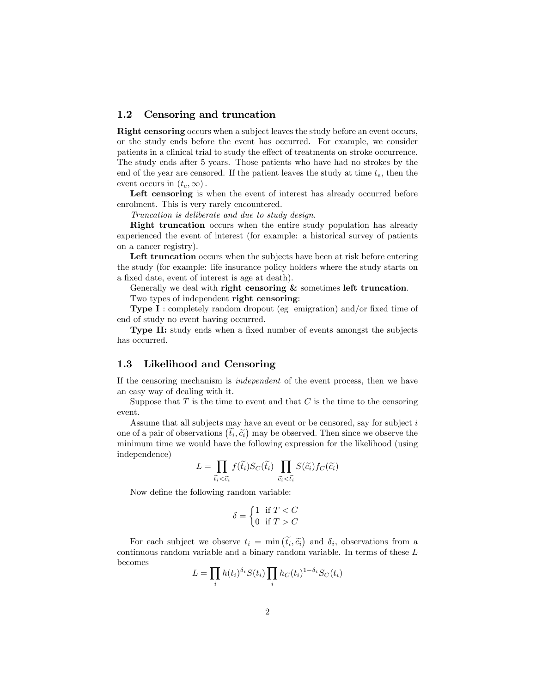## 1.2 Censoring and truncation

Right censoring occurs when a subject leaves the study before an event occurs, or the study ends before the event has occurred. For example, we consider patients in a clinical trial to study the effect of treatments on stroke occurrence. The study ends after 5 years. Those patients who have had no strokes by the end of the year are censored. If the patient leaves the study at time  $t_e$ , then the event occurs in  $(t_e,\infty)$ .

Left censoring is when the event of interest has already occurred before enrolment. This is very rarely encountered.

Truncation is deliberate and due to study design.

Right truncation occurs when the entire study population has already experienced the event of interest (for example: a historical survey of patients on a cancer registry).

Left truncation occurs when the subjects have been at risk before entering the study (for example: life insurance policy holders where the study starts on a fixed date, event of interest is age at death).

Generally we deal with right censoring  $\&$  sometimes left truncation. Two types of independent right censoring:

**Type I**: completely random dropout (eg emigration) and/or fixed time of end of study no event having occurred.

**Type II:** study ends when a fixed number of events amongst the subjects has occurred.

## 1.3 Likelihood and Censoring

If the censoring mechanism is independent of the event process, then we have an easy way of dealing with it.

Suppose that  $T$  is the time to event and that  $C$  is the time to the censoring event.

Assume that all subjects may have an event or be censored, say for subject  $i$ one of a pair of observations  $(\tilde{t}_i, \tilde{c}_i)$  may be observed. Then since we observe the minimum time we would have the following expression for the likelihood (using independence)

$$
L = \prod_{\tilde{t}_i < \tilde{c}_i} f(\tilde{t}_i) S_C(\tilde{t}_i) \prod_{\tilde{c}_i < \tilde{t}_i} S(\tilde{c}_i) f_C(\tilde{c}_i)
$$

Now define the following random variable:

$$
\delta = \begin{cases} 1 & \text{if } T < C \\ 0 & \text{if } T > C \end{cases}
$$

For each subject we observe  $t_i = \min (\tilde{t}_i, \tilde{c}_i)$  and  $\delta_i$ , observations from a time seems of these I continuous random variable and a binary random variable. In terms of these  ${\cal L}$ becomes

$$
L = \prod_i h(t_i)^{\delta_i} S(t_i) \prod_i h_C(t_i)^{1-\delta_i} S_C(t_i)
$$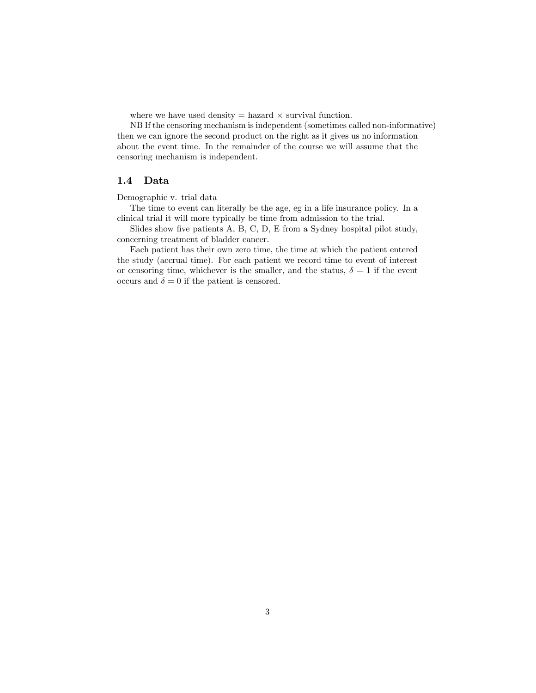where we have used density  $=$  hazard  $\times$  survival function.

NB If the censoring mechanism is independent (sometimes called non-informative) then we can ignore the second product on the right as it gives us no information about the event time. In the remainder of the course we will assume that the censoring mechanism is independent.

### 1.4 Data

#### Demographic v. trial data

The time to event can literally be the age, eg in a life insurance policy. In a clinical trial it will more typically be time from admission to the trial.

Slides show five patients  $A, B, C, D, E$  from a Sydney hospital pilot study, concerning treatment of bladder cancer.

Each patient has their own zero time, the time at which the patient entered the study (accrual time). For each patient we record time to event of interest or censoring time, whichever is the smaller, and the status,  $\delta = 1$  if the event occurs and  $\delta = 0$  if the patient is censored.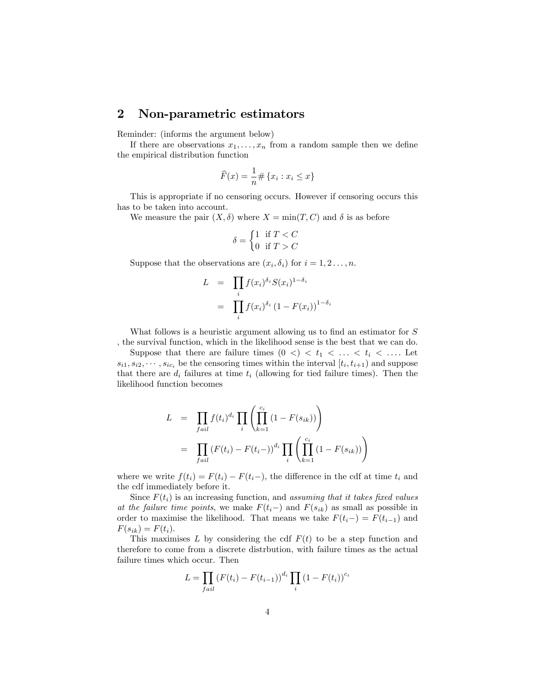# 2 Non-parametric estimators

Reminder: (informs the argument below)

If there are observations  $x_1, \ldots, x_n$  from a random sample then we define the empirical distribution function

$$
\widehat{F}(x) = \frac{1}{n} \# \{x_i : x_i \le x\}
$$

This is appropriate if no censoring occurs. However if censoring occurs this has to be taken into account.

We measure the pair  $(X, \delta)$  where  $X = \min(T, C)$  and  $\delta$  is as before

$$
\delta = \begin{cases} 1 & \text{if } T < C \\ 0 & \text{if } T > C \end{cases}
$$

Suppose that the observations are  $(x_i, \delta_i)$  for  $i = 1, 2, \ldots, n$ .

$$
L = \prod_{i} f(x_i)^{\delta_i} S(x_i)^{1 - \delta_i}
$$

$$
= \prod_{i} f(x_i)^{\delta_i} (1 - F(x_i))^{1 - \delta_i}
$$

What follows is a heuristic argument allowing us to find an estimator for  $S$ , the survival function, which in the likelihood sense is the best that we can do.

Suppose that there are failure times  $(0 \lt l) \lt t_1 \lt \ldots \lt t_i \lt \ldots$  Let  $s_{i1}, s_{i2}, \cdots, s_{ic_i}$  be the censoring times within the interval  $[t_i, t_{i+1})$  and suppose that there are  $d_i$  failures at time  $t_i$  (allowing for tied failure times). Then the likelihood function becomes

$$
L = \prod_{fail} f(t_i)^{d_i} \prod_i \left( \prod_{k=1}^{c_i} (1 - F(s_{ik})) \right)
$$
  
= 
$$
\prod_{fail} (F(t_i) - F(t_i -))^{d_i} \prod_i \left( \prod_{k=1}^{c_i} (1 - F(s_{ik})) \right)
$$

where we write  $f(t_i) = F(t_i) - F(t_i-)$ , the difference in the cdf at time  $t_i$  and the cdf immediately before it.

Since  $F(t_i)$  is an increasing function, and assuming that it takes fixed values at the failure time points, we make  $F(t_i-)$  and  $F(s_{ik})$  as small as possible in order to maximise the likelihood. That means we take  $F(t_i-) = F(t_{i-1})$  and  $F(s_{ik}) = F(t_i).$ 

This maximises  $L$  by considering the cdf  $F(t)$  to be a step function and therefore to come from a discrete distrbution, with failure times as the actual failure times which occur. Then

$$
L = \prod_{fail} (F(t_i) - F(t_{i-1}))^{d_i} \prod_i (1 - F(t_i))^{c_i}
$$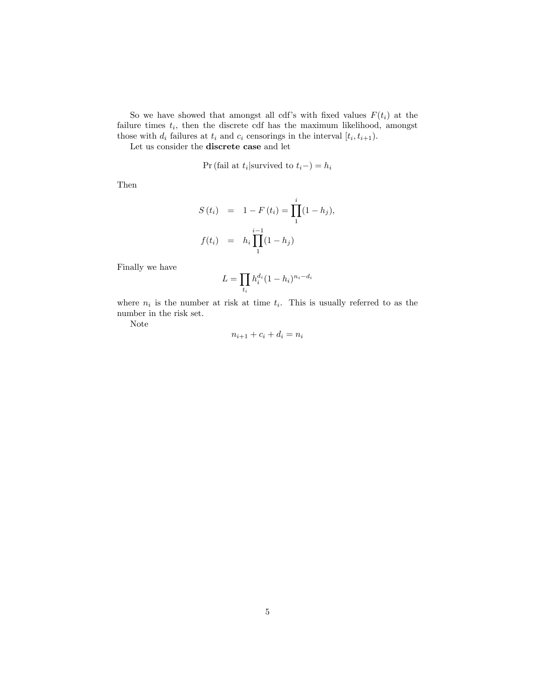So we have showed that amongst all cdf's with fixed values  $F(t_i)$  at the failure times  $t_i$ , then the discrete cdf has the maximum likelihood, amongst those with  $d_i$  failures at  $t_i$  and  $c_i$  censorings in the interval  $[t_i, t_{i+1})$ .

Let us consider the discrete case and let

$$
Pr(fail at ti|survived to ti-)=hi
$$

Then

$$
S(t_i) = 1 - F(t_i) = \prod_{1}^{i} (1 - h_j),
$$
  

$$
f(t_i) = h_i \prod_{1}^{i-1} (1 - h_j)
$$

Finally we have

$$
L = \prod_{t_i} h_i^{d_i} (1 - h_i)^{n_i - d_i}
$$

where  $n_i$  is the number at risk at time  $t_i$ . This is usually referred to as the number in the risk set.

Note

$$
n_{i+1} + c_i + d_i = n_i
$$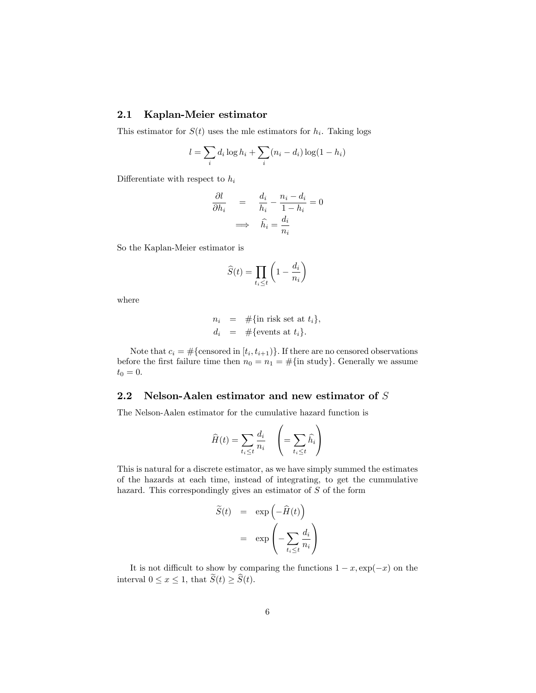# 2.1 Kaplan-Meier estimator

This estimator for  $S(t)$  uses the mle estimators for  $h_i$ . Taking logs

$$
l = \sum_{i} d_i \log h_i + \sum_{i} (n_i - d_i) \log (1 - h_i)
$$

Differentiate with respect to  $h_i$ 

$$
\frac{\partial l}{\partial h_i} = \frac{d_i}{h_i} - \frac{n_i - d_i}{1 - h_i} = 0
$$

$$
\implies \hat{h_i} = \frac{d_i}{n_i}
$$

So the Kaplan-Meier estimator is

$$
\widehat{S}(t) = \prod_{t_i \le t} \left( 1 - \frac{d_i}{n_i} \right)
$$

where

$$
n_i = #\{\text{in risk set at } t_i\},\,
$$
  

$$
d_i = #\{\text{events at } t_i\}.
$$

Note that  $c_i = #$ {censored in  $[t_i, t_{i+1})$ }. If there are no censored observations before the first failure time then  $n_0 = n_1 = #\{\text{in study}\}\)$ . Generally we assume  $t_0 = 0.$ 

## 2.2 Nelson-Aalen estimator and new estimator of S

The Nelson-Aalen estimator for the cumulative hazard function is

$$
\widehat{H}(t) = \sum_{t_i \le t} \frac{d_i}{n_i} \quad \left( = \sum_{t_i \le t} \widehat{h_i} \right)
$$

This is natural for a discrete estimator, as we have simply summed the estimates of the hazards at each time, instead of integrating, to get the cummulative hazard. This correspondingly gives an estimator of S of the form

$$
\widetilde{S}(t) = \exp\left(-\widehat{H}(t)\right)
$$

$$
= \exp\left(-\sum_{t_i \le t} \frac{d_i}{n_i}\right)
$$

It is not difficult to show by comparing the functions  $1 - x$ ,  $\exp(-x)$  on the interval  $0 \le x \le 1$ , that  $\widetilde{S}(t) \ge \widehat{S}(t)$ .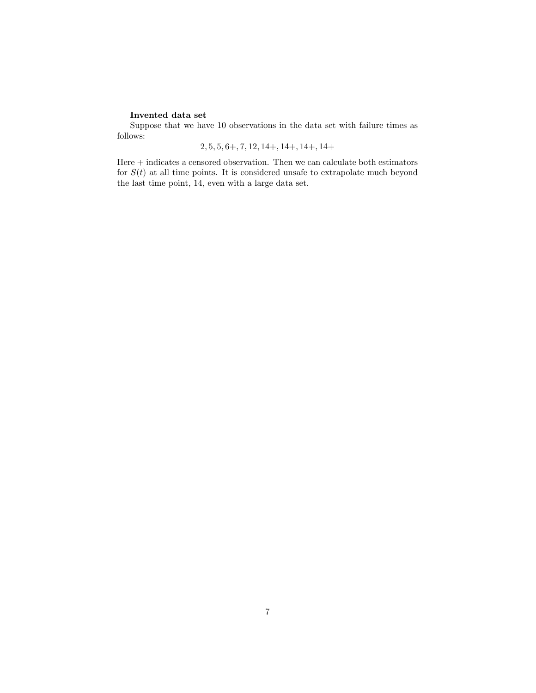### Invented data set

Suppose that we have 10 observations in the data set with failure times as follows:

# $2, 5, 5, 6+, 7, 12, 14+, 14+, 14+, 14+$

Here  $+$  indicates a censored observation. Then we can calculate both estimators for  $S(t)$  at all time points. It is considered unsafe to extrapolate much beyond the last time point, 14, even with a large data set.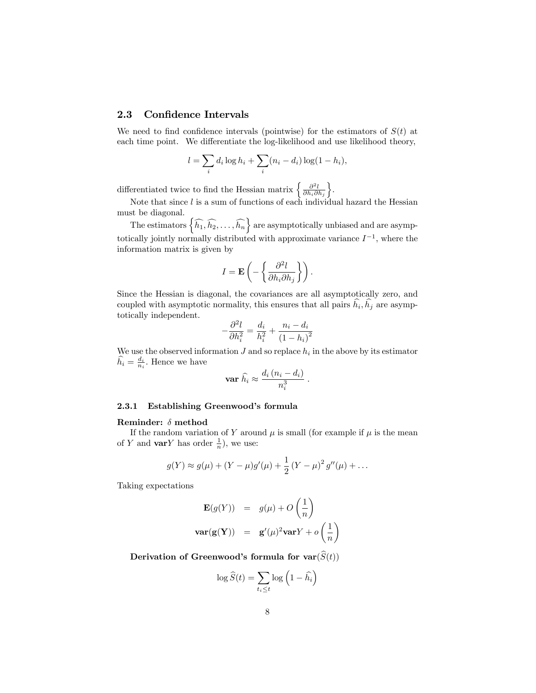## 2.3 Confidence Intervals

We need to find confidence intervals (pointwise) for the estimators of  $S(t)$  at each time point. We differentiate the log-likelihood and use likelihood theory,

$$
l = \sum_{i} d_i \log h_i + \sum_{i} (n_i - d_i) \log(1 - h_i),
$$

differentiated twice to find the Hessian matrix  $\left\{\frac{\partial^2 l}{\partial h_i \partial h_j}\right\}$  $\big\}$ .

Note that since  $l$  is a sum of functions of each individual hazard the Hessian must be diagonal.

The estimators  $\left\{\widehat{h_1}, \widehat{h_2}, \ldots, \widehat{h_n}\right\}$  are asymptotically unbiased and are asymptotically jointly normally distributed with approximate variance  $I^{-1}$ , where the information matrix is given by

$$
I = \mathbf{E}\left(-\left\{\frac{\partial^2 l}{\partial h_i \partial h_j}\right\}\right).
$$

Since the Hessian is diagonal, the covariances are all asymptotically zero, and coupled with asymptotic normality, this ensures that all pairs  $h_i, h_j$  are asymptotically independent.

$$
-\frac{\partial^2 l}{\partial h_i^2} = \frac{d_i}{h_i^2} + \frac{n_i - d_i}{(1 - h_i)^2}
$$

We use the observed information  $J$  and so replace  $h_i$  in the above by its estimator  $\widehat{h}_i = \frac{d_i}{n_i}$ . Hence we have

$$
\operatorname{var} \widehat{h_i} \approx \frac{d_i (n_i - d_i)}{n_i^3} .
$$

#### 2.3.1 Establishing Greenwood's formula

#### Reminder:  $\delta$  method

If the random variation of Y around  $\mu$  is small (for example if  $\mu$  is the mean of Y and **var**Y has order  $\frac{1}{n}$ , we use:

$$
g(Y) \approx g(\mu) + (Y - \mu)g'(\mu) + \frac{1}{2}(Y - \mu)^2 g''(\mu) + \dots
$$

Taking expectations

$$
\mathbf{E}(g(Y)) = g(\mu) + O\left(\frac{1}{n}\right)
$$
  

$$
\mathbf{var}(\mathbf{g}(\mathbf{Y})) = \mathbf{g}'(\mu)^2 \mathbf{var}Y + o\left(\frac{1}{n}\right)
$$

Derivation of Greenwood's formula for  $var(\hat{S}(t))$ 

$$
\log \widehat{S}(t) = \sum_{t_i \le t} \log \left( 1 - \widehat{h_i} \right)
$$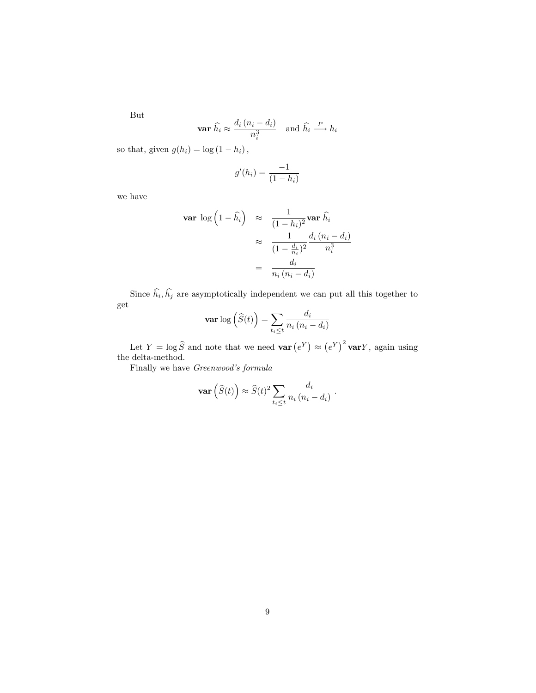But

$$
\mathbf{var} \; \widehat{h_i} \approx \frac{d_i \, (n_i - d_i)}{n_i^3} \quad \text{and} \; \widehat{h_i} \xrightarrow{P} h_i
$$

so that, given  $g(h_i) = \log(1 - h_i)$ ,

$$
g'(h_i) = \frac{-1}{(1 - h_i)}
$$

we have

$$
\begin{array}{rcl}\n\textbf{var} \, \log \left( 1 - \widehat{h}_i \right) & \approx & \frac{1}{(1 - h_i)^2} \textbf{var} \, \widehat{h}_i \\
& \approx & \frac{1}{(1 - \frac{d_i}{n_i})^2} \frac{d_i \, (n_i - d_i)}{n_i^3} \\
& = & \frac{d_i}{n_i \, (n_i - d_i)}\n\end{array}
$$

Since  $h_i, h_j$  are asymptotically independent we can put all this together to get

$$
\mathbf{var} \log \left( \widehat{S}(t) \right) = \sum_{t_i \le t} \frac{d_i}{n_i \left( n_i - d_i \right)}
$$

Let  $Y = \log \widehat{S}$  and note that we need **var**  $(e^Y) \approx (e^Y)^2$  **var**Y, again using the delta-method.

Finally we have Greenwood's formula

$$
\mathbf{var}\left(\widehat{S}(t)\right) \approx \widehat{S}(t)^2 \sum_{t_i \leq t} \frac{d_i}{n_i (n_i - d_i)}.
$$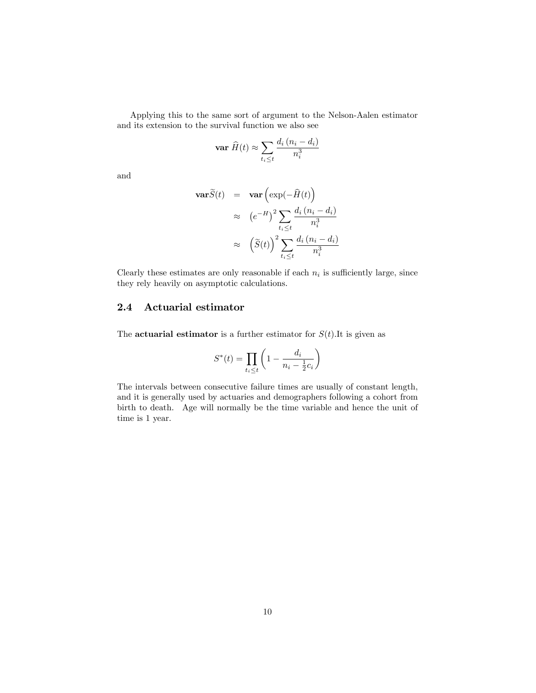Applying this to the same sort of argument to the Nelson-Aalen estimator and its extension to the survival function we also see

$$
\mathbf{var} \; \widehat{H}(t) \approx \sum_{t_i \le t} \frac{d_i \left(n_i - d_i\right)}{n_i^3}
$$

and

$$
\begin{array}{rcl}\n\textbf{var}\tilde{S}(t) & = & \textbf{var}\left(\exp(-\hat{H}(t)\right) \\
& \approx & \left(e^{-H}\right)^2 \sum_{t_i \le t} \frac{d_i \left(n_i - d_i\right)}{n_i^3} \\
& \approx & \left(\tilde{S}(t)\right)^2 \sum_{t_i \le t} \frac{d_i \left(n_i - d_i\right)}{n_i^3}\n\end{array}
$$

Clearly these estimates are only reasonable if each  $n_i$  is sufficiently large, since they rely heavily on asymptotic calculations.

# 2.4 Actuarial estimator

The **actuarial estimator** is a further estimator for  $S(t)$ . It is given as

$$
S^*(t) = \prod_{t_i \le t} \left( 1 - \frac{d_i}{n_i - \frac{1}{2}c_i} \right)
$$

The intervals between consecutive failure times are usually of constant length, and it is generally used by actuaries and demographers following a cohort from birth to death. Age will normally be the time variable and hence the unit of time is 1 year.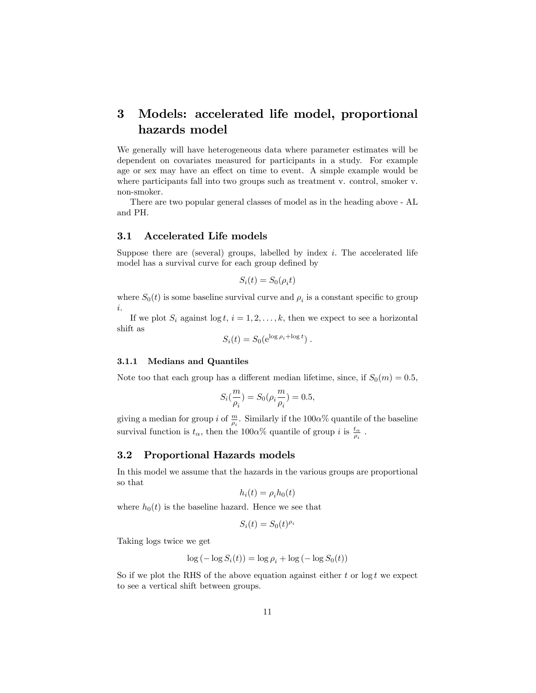# 3 Models: accelerated life model, proportional hazards model

We generally will have heterogeneous data where parameter estimates will be dependent on covariates measured for participants in a study. For example age or sex may have an effect on time to event. A simple example would be where participants fall into two groups such as treatment v. control, smoker v. non-smoker.

There are two popular general classes of model as in the heading above - AL and PH.

# 3.1 Accelerated Life models

Suppose there are (several) groups, labelled by index  $i$ . The accelerated life model has a survival curve for each group defined by

$$
S_i(t) = S_0(\rho_i t)
$$

where  $S_0(t)$  is some baseline survival curve and  $\rho_i$  is a constant specific to group i.

If we plot  $S_i$  against  $\log t$ ,  $i = 1, 2, \ldots, k$ , then we expect to see a horizontal shift as

$$
S_i(t) = S_0(e^{\log \rho_i + \log t}).
$$

#### 3.1.1 Medians and Quantiles

Note too that each group has a different median lifetime, since, if  $S_0(m) = 0.5$ ,

$$
S_i(\frac{m}{\rho_i}) = S_0(\rho_i \frac{m}{\rho_i}) = 0.5,
$$

giving a median for group *i* of  $\frac{m}{\rho_i}$ . Similarly if the 100 $\alpha$ % quantile of the baseline survival function is  $t_{\alpha}$ , then the 100 $\alpha$ % quantile of group i is  $\frac{t_{\alpha}}{\rho_i}$ .

## 3.2 Proportional Hazards models

In this model we assume that the hazards in the various groups are proportional so that

$$
h_i(t) = \rho_i h_0(t)
$$

where  $h_0(t)$  is the baseline hazard. Hence we see that

$$
S_i(t) = S_0(t)^{\rho_i}
$$

Taking logs twice we get

$$
\log\left(-\log S_i(t)\right) = \log \rho_i + \log\left(-\log S_0(t)\right)
$$

So if we plot the RHS of the above equation against either t or  $\log t$  we expect to see a vertical shift between groups.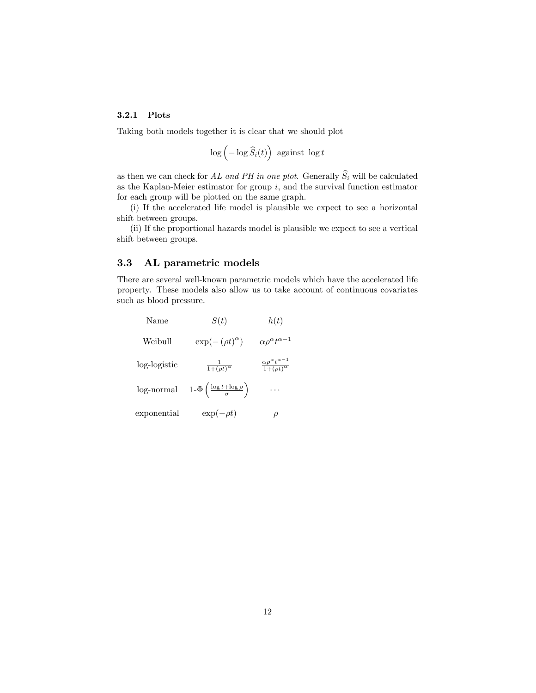### 3.2.1 Plots

Taking both models together it is clear that we should plot

$$
\log\left(-\log\widehat{S}_i(t)\right)\text{ against } \log t
$$

as then we can check for AL and PH in one plot. Generally  $\widehat{S}_i$  will be calculated as the Kaplan-Meier estimator for group  $i$ , and the survival function estimator for each group will be plotted on the same graph.

(i) If the accelerated life model is plausible we expect to see a horizontal shift between groups.

(ii) If the proportional hazards model is plausible we expect to see a vertical shift between groups.

## 3.3 AL parametric models

There are several well-known parametric models which have the accelerated life property. These models also allow us to take account of continuous covariates such as blood pressure.

| Name         | S(t)                                                   | h(t)                                                            |
|--------------|--------------------------------------------------------|-----------------------------------------------------------------|
| Weibull      | $\exp(-(\rho t)^{\alpha})$                             | $\alpha \rho^{\alpha} t^{\alpha-1}$                             |
| log-logistic | $\frac{1}{1+(\rho t)^{\alpha}}$                        | $\frac{\alpha \rho^{\alpha} t^{\alpha-1}}{1+(\rho t)^{\alpha}}$ |
| log-normal   | $1-\Phi\left(\frac{\log t + \log \rho}{\sigma}\right)$ | $\cdots$                                                        |
| exponential  | $\exp(-\rho t)$                                        |                                                                 |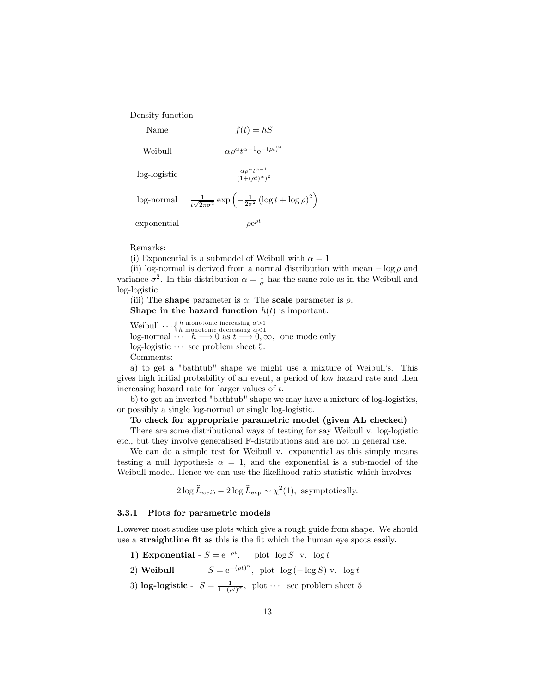Density function

- Name  $f(t) = hS$
- Weibull

 $\alpha-1e^{-(\rho t)^{\alpha}}$ 

log-logistic

log-normal  $\frac{1}{t\sqrt{2\pi\sigma^2}}\exp\left(-\frac{1}{2\sigma^2}\left(\log t + \log \rho\right)^2\right)$ exponential e  $\rho e^{\rho t}$ 

Remarks:

(i) Exponential is a submodel of Weibull with  $\alpha = 1$ 

(ii) log-normal is derived from a normal distribution with mean  $-\log \rho$  and variance  $\sigma^2$ . In this distribution  $\alpha = \frac{1}{\sigma}$  has the same role as in the Weibull and log-logistic.

 $\alpha - 1$  $\overline{(1+(\rho t)^{\alpha})^2}$ 

(iii) The **shape** parameter is  $\alpha$ . The **scale** parameter is  $\rho$ . Shape in the hazard function  $h(t)$  is important.

Weibull  $\cdots$  { $h$  monotonic increasing  $\alpha$  >1<br>log-normal  $\cdots$   $h \longrightarrow 0$  as  $t \longrightarrow 0$ ,  $\infty$ , one mode only  $log$ -logistic  $\cdots$  see problem sheet 5. Comments:

a) to get a "bathtub" shape we might use a mixture of Weibull's. This gives high initial probability of an event, a period of low hazard rate and then increasing hazard rate for larger values of t.

b) to get an inverted "bathtub" shape we may have a mixture of log-logistics, or possibly a single log-normal or single log-logistic.

#### To check for appropriate parametric model (given AL checked)

There are some distributional ways of testing for say Weibull v. log-logistic etc., but they involve generalised F-distributions and are not in general use.

We can do a simple test for Weibull v. exponential as this simply means testing a null hypothesis  $\alpha = 1$ , and the exponential is a sub-model of the Weibull model. Hence we can use the likelihood ratio statistic which involves

 $2\log \widehat{L}_{web} - 2\log \widehat{L}_{exp} \sim \chi^2(1)$ , asymptotically.

#### 3.3.1 Plots for parametric models

However most studies use plots which give a rough guide from shape. We should use a **straightline fit** as this is the fit which the human eye spots easily.

- 1) Exponential  $S = e^{-\rho t}$ , plot  $\log S$  v.  $\log t$
- 2) **Weibull**  $S = e^{-(\rho t)^{\alpha}}$ , plot  $\log(-\log S)$  v.  $\log t$
- 3) **log-logistic**  $S = \frac{1}{1+(\rho t)^{\alpha}}$ , plot  $\cdots$  see problem sheet 5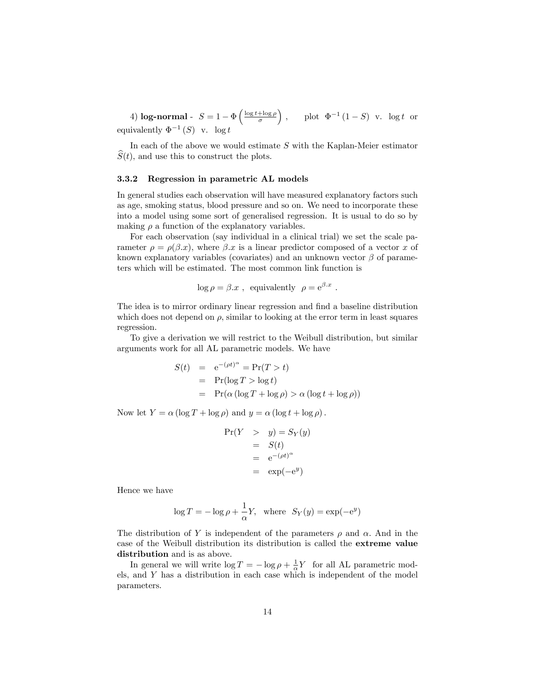4) log-normal -  $S = 1 - \Phi\left(\frac{\log t + \log \rho}{\sigma}\right)$ ), plot  $\Phi^{-1}(1-S)$  v. log t or equivalently  $\Phi^{-1}(S)$  v. log t

In each of the above we would estimate  $S$  with the Kaplan-Meier estimator  $S(t)$ , and use this to construct the plots.

#### 3.3.2 Regression in parametric AL models

In general studies each observation will have measured explanatory factors such as age, smoking status, blood pressure and so on. We need to incorporate these into a model using some sort of generalised regression. It is usual to do so by making  $\rho$  a function of the explanatory variables.

For each observation (say individual in a clinical trial) we set the scale parameter  $\rho = \rho(\beta x)$ , where  $\beta x$  is a linear predictor composed of a vector x of known explanatory variables (covariates) and an unknown vector  $\beta$  of parameters which will be estimated. The most common link function is

$$
\log \rho = \beta \cdot x
$$
, equivalently  $\rho = e^{\beta \cdot x}$ .

The idea is to mirror ordinary linear regression and find a baseline distribution which does not depend on  $\rho$ , similar to looking at the error term in least squares regression.

To give a derivation we will restrict to the Weibull distribution, but similar arguments work for all AL parametric models. We have

$$
S(t) = e^{-(\rho t)^{\alpha}} = Pr(T > t)
$$
  
= Pr(log T > log t)  
= Pr( $\alpha$  (log T + log  $\rho$ ) >  $\alpha$  (log t + log  $\rho$ ))

Now let  $Y = \alpha (\log T + \log \rho)$  and  $y = \alpha (\log t + \log \rho)$ .

$$
Pr(Y > y) = S_Y(y)
$$
  
= S(t)  
= e<sup>-(\rho t)^{\alpha}</sup>  
= exp(-e<sup>y</sup>)

Hence we have

$$
\log T = -\log \rho + \frac{1}{\alpha} Y, \text{ where } S_Y(y) = \exp(-e^y)
$$

The distribution of Y is independent of the parameters  $\rho$  and  $\alpha$ . And in the case of the Weibull distribution its distribution is called the extreme value distribution and is as above.

In general we will write  $\log T = -\log \rho + \frac{1}{\alpha} Y$  for all AL parametric models, and Y has a distribution in each case which is independent of the model parameters.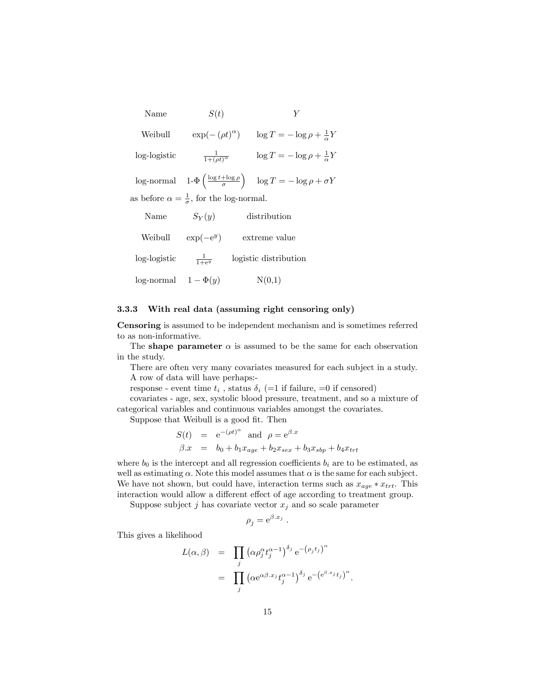Name  $S(t)$   $Y$ 

Weibull  $\exp(-(\rho t)^{\alpha}) \quad \log T = -\log \rho + \frac{1}{\alpha}Y$ log-logistic <sup>1</sup>  $\frac{1}{1+(\rho t)^{\alpha}}$   $\log T = -\log \rho + \frac{1}{\alpha}Y$ 

 $\log$ -normal  $1-\Phi\left(\frac{\log t+\log\rho}{\sigma}\right)$  $\log T = -\log \rho + \sigma Y$ as before  $\alpha = \frac{1}{\sigma}$ , for the log-normal.

| Name                     | $S_Y(y)$          | distribution          |
|--------------------------|-------------------|-----------------------|
| Weibull                  | $\exp(-e^y)$      | extreme value         |
| log-logistic             | $\frac{1}{1+e^y}$ | logistic distribution |
| log-normal $1 - \Phi(y)$ |                   | N(0,1)                |

#### 3.3.3 With real data (assuming right censoring only)

Censoring is assumed to be independent mechanism and is sometimes referred to as non-informative.

The shape parameter  $\alpha$  is assumed to be the same for each observation in the study.

There are often very many covariates measured for each subject in a study. A row of data will have perhaps:-

response - event time  $t_i$ , status  $\delta_i$  (=1 if failure, =0 if censored)

covariates - age, sex, systolic blood pressure, treatment, and so a mixture of categorical variables and continuous variables amongst the covariates.

Suppose that Weibull is a good fit. Then

$$
S(t) = e^{-(\rho t)^{\alpha}} \text{ and } \rho = e^{\beta x}
$$
  

$$
\beta \cdot x = b_0 + b_1 x_{age} + b_2 x_{sex} + b_3 x_{sbp} + b_4 x_{trt}
$$

where  $b_0$  is the intercept and all regression coefficients  $b_i$  are to be estimated, as well as estimating  $\alpha$ . Note this model assumes that  $\alpha$  is the same for each subject. We have not shown, but could have, interaction terms such as  $x_{age} * x_{trt}$ . This interaction would allow a different effect of age according to treatment group.

Suppose subject  $j$  has covariate vector  $x_j$  and so scale parameter

$$
\rho_j = e^{\beta x_j} .
$$

This gives a likelihood

$$
L(\alpha, \beta) = \prod_{j} (\alpha \rho_j^{\alpha} t_j^{\alpha - 1})^{\delta_j} e^{-(\rho_j t_j)^{\alpha}}
$$
  
= 
$$
\prod_{j} (\alpha e^{\alpha \beta \cdot x_j} t_j^{\alpha - 1})^{\delta_j} e^{-\left(e^{\beta \cdot x_j} t_j\right)^{\alpha}}.
$$